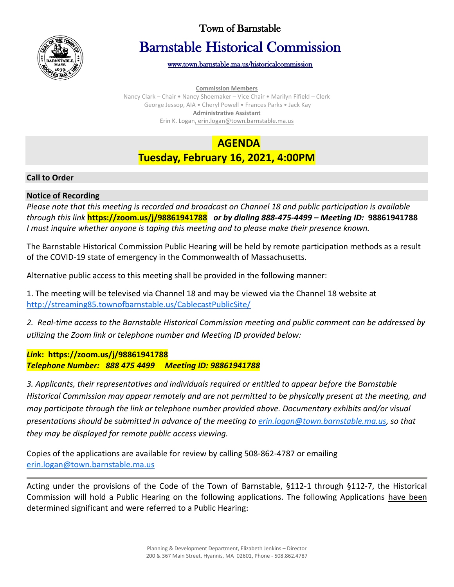

# Town of Barnstable

# Barnstable Historical Commission

[www.town.barnstable.ma.us/historicalcommission](http://www.town.barnstable.ma.us/historicalcommission) 

**Commission Members**

Nancy Clark – Chair • Nancy Shoemaker – Vice Chair • Marilyn Fifield – Clerk George Jessop, AIA • Cheryl Powell • Frances Parks • Jack Kay **Administrative Assistant** Erin K. Logan, erin.logan@town.barnstable.ma.us

# **AGENDA**

# **Tuesday, February 16, 2021, 4:00PM**

# **Call to Order**

# **Notice of Recording**

*Please note that this meeting is recorded and broadcast on Channel 18 and public participation is available through this link* **https://zoom.us/j/98861941788** *or by dialing 888-475-4499 – Meeting ID:* **98861941788** *I must inquire whether anyone is taping this meeting and to please make their presence known.*

The Barnstable Historical Commission Public Hearing will be held by remote participation methods as a result of the COVID-19 state of emergency in the Commonwealth of Massachusetts.

Alternative public access to this meeting shall be provided in the following manner:

1. The meeting will be televised via Channel 18 and may be viewed via the Channel 18 website at <http://streaming85.townofbarnstable.us/CablecastPublicSite/>

*2. Real-time access to the Barnstable Historical Commission meeting and public comment can be addressed by utilizing the Zoom link or telephone number and Meeting ID provided below:*

# *Lin***k: https://zoom.us/j/98861941788** *Telephone Number: 888 475 4499 Meeting ID: 98861941788*

*3. Applicants, their representatives and individuals required or entitled to appear before the Barnstable Historical Commission may appear remotely and are not permitted to be physically present at the meeting, and may participate through the link or telephone number provided above. Documentary exhibits and/or visual presentations should be submitted in advance of the meeting to [erin.logan@town.barnstable.ma.us,](mailto:erin.logan@town.barnstable.ma.us) so that they may be displayed for remote public access viewing.*

Copies of the applications are available for review by calling 508-862-4787 or emailing [erin.logan@town.barnstable.ma.us](mailto:erin.logan@town.barnstable.ma.us)

Acting under the provisions of the Code of the Town of Barnstable, §112-1 through §112-7, the Historical Commission will hold a Public Hearing on the following applications. The following Applications have been determined significant and were referred to a Public Hearing: